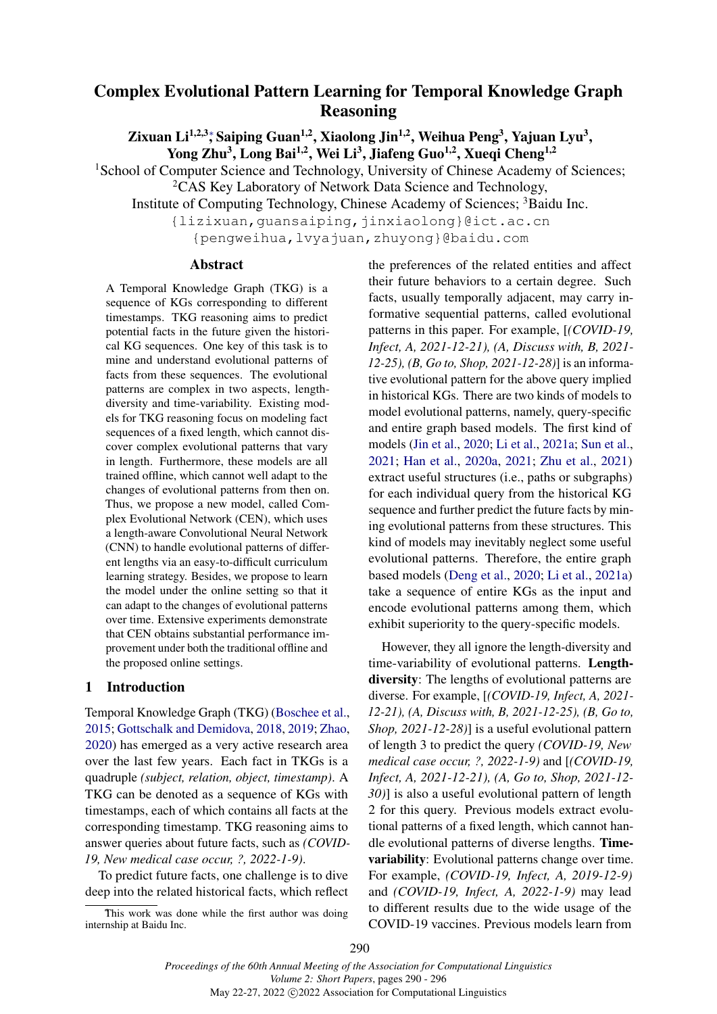# <span id="page-0-0"></span>Complex Evolutional Pattern Learning for Temporal Knowledge Graph Reasoning

Zixuan Li<sup>1[,](#page-0-0)2,3</sup>\*, Saiping Guan<sup>1,2</sup>, Xiaolong Jin<sup>1,2</sup>, Weihua Peng<sup>3</sup>, Yajuan Lyu<sup>3</sup>, Yong Zhu<sup>3</sup>, Long Bai<sup>1,2</sup>, Wei Li<sup>3</sup>, Jiafeng Guo<sup>1,2</sup>, Xueqi Cheng<sup>1,2</sup>

<sup>1</sup>School of Computer Science and Technology, University of Chinese Academy of Sciences; <sup>2</sup>CAS Key Laboratory of Network Data Science and Technology,

Institute of Computing Technology, Chinese Academy of Sciences; <sup>3</sup>Baidu Inc.

{lizixuan,guansaiping,jinxiaolong}@ict.ac.cn

{pengweihua,lvyajuan,zhuyong}@baidu.com

# Abstract

A Temporal Knowledge Graph (TKG) is a sequence of KGs corresponding to different timestamps. TKG reasoning aims to predict potential facts in the future given the historical KG sequences. One key of this task is to mine and understand evolutional patterns of facts from these sequences. The evolutional patterns are complex in two aspects, lengthdiversity and time-variability. Existing models for TKG reasoning focus on modeling fact sequences of a fixed length, which cannot discover complex evolutional patterns that vary in length. Furthermore, these models are all trained offline, which cannot well adapt to the changes of evolutional patterns from then on. Thus, we propose a new model, called Complex Evolutional Network (CEN), which uses a length-aware Convolutional Neural Network (CNN) to handle evolutional patterns of different lengths via an easy-to-difficult curriculum learning strategy. Besides, we propose to learn the model under the online setting so that it can adapt to the changes of evolutional patterns over time. Extensive experiments demonstrate that CEN obtains substantial performance improvement under both the traditional offline and the proposed online settings.

# 1 Introduction

Temporal Knowledge Graph (TKG) [\(Boschee et al.,](#page-5-0) [2015;](#page-5-0) [Gottschalk and Demidova,](#page-5-1) [2018,](#page-5-1) [2019;](#page-5-2) [Zhao,](#page-6-0) [2020\)](#page-6-0) has emerged as a very active research area over the last few years. Each fact in TKGs is a quadruple *(subject, relation, object, timestamp)*. A TKG can be denoted as a sequence of KGs with timestamps, each of which contains all facts at the corresponding timestamp. TKG reasoning aims to answer queries about future facts, such as *(COVID-19, New medical case occur, ?, 2022-1-9)*.

To predict future facts, one challenge is to dive deep into the related historical facts, which reflect the preferences of the related entities and affect their future behaviors to a certain degree. Such facts, usually temporally adjacent, may carry informative sequential patterns, called evolutional patterns in this paper. For example, [*(COVID-19, Infect, A, 2021-12-21), (A, Discuss with, B, 2021- 12-25), (B, Go to, Shop, 2021-12-28)*] is an informative evolutional pattern for the above query implied in historical KGs. There are two kinds of models to model evolutional patterns, namely, query-specific and entire graph based models. The first kind of models [\(Jin et al.,](#page-5-3) [2020;](#page-5-3) [Li et al.,](#page-5-4) [2021a;](#page-5-4) [Sun et al.,](#page-5-5) [2021;](#page-5-5) [Han et al.,](#page-5-6) [2020a,](#page-5-6) [2021;](#page-5-7) [Zhu et al.,](#page-6-1) [2021\)](#page-6-1) extract useful structures (i.e., paths or subgraphs) for each individual query from the historical KG sequence and further predict the future facts by mining evolutional patterns from these structures. This kind of models may inevitably neglect some useful evolutional patterns. Therefore, the entire graph based models [\(Deng et al.,](#page-5-8) [2020;](#page-5-8) [Li et al.,](#page-5-4) [2021a\)](#page-5-4) take a sequence of entire KGs as the input and encode evolutional patterns among them, which exhibit superiority to the query-specific models.

However, they all ignore the length-diversity and time-variability of evolutional patterns. Lengthdiversity: The lengths of evolutional patterns are diverse. For example, [*(COVID-19, Infect, A, 2021- 12-21), (A, Discuss with, B, 2021-12-25), (B, Go to, Shop, 2021-12-28)*] is a useful evolutional pattern of length 3 to predict the query *(COVID-19, New medical case occur, ?, 2022-1-9)* and [*(COVID-19, Infect, A, 2021-12-21), (A, Go to, Shop, 2021-12- 30)*] is also a useful evolutional pattern of length 2 for this query. Previous models extract evolutional patterns of a fixed length, which cannot handle evolutional patterns of diverse lengths. Timevariability: Evolutional patterns change over time. For example, *(COVID-19, Infect, A, 2019-12-9)* and *(COVID-19, Infect, A, 2022-1-9)* may lead to different results due to the wide usage of the COVID-19 vaccines. Previous models learn from

This work was done while the first author was doing internship at Baidu Inc.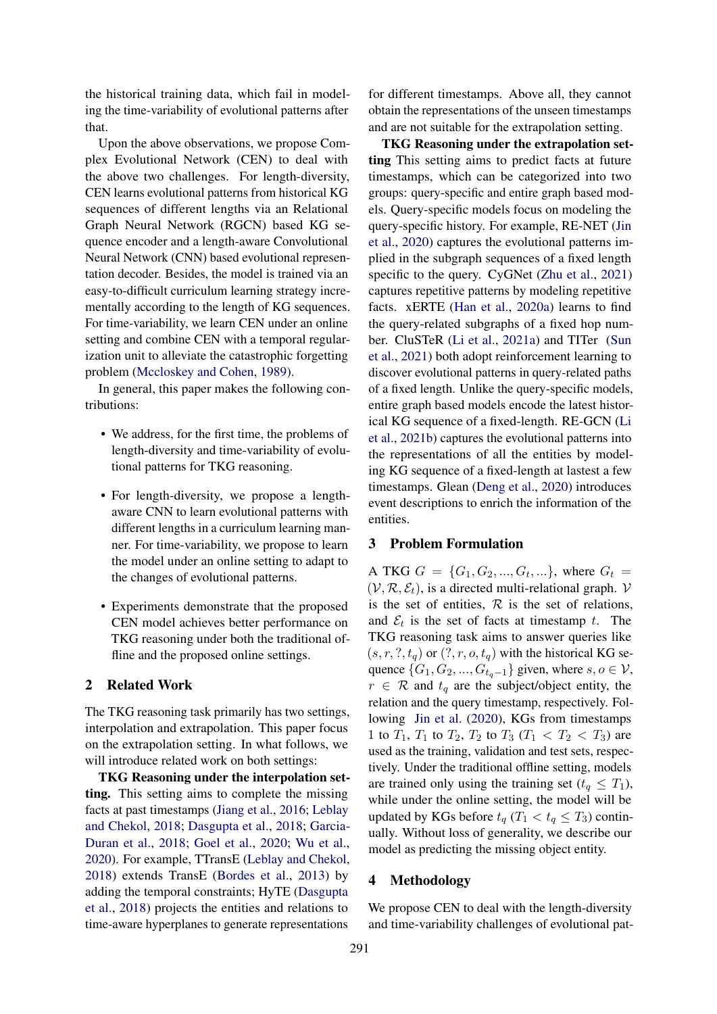the historical training data, which fail in modeling the time-variability of evolutional patterns after that.

Upon the above observations, we propose Complex Evolutional Network (CEN) to deal with the above two challenges. For length-diversity, CEN learns evolutional patterns from historical KG sequences of different lengths via an Relational Graph Neural Network (RGCN) based KG sequence encoder and a length-aware Convolutional Neural Network (CNN) based evolutional representation decoder. Besides, the model is trained via an easy-to-difficult curriculum learning strategy incrementally according to the length of KG sequences. For time-variability, we learn CEN under an online setting and combine CEN with a temporal regularization unit to alleviate the catastrophic forgetting problem [\(Mccloskey and Cohen,](#page-5-9) [1989\)](#page-5-9).

In general, this paper makes the following contributions:

- We address, for the first time, the problems of length-diversity and time-variability of evolutional patterns for TKG reasoning.
- For length-diversity, we propose a lengthaware CNN to learn evolutional patterns with different lengths in a curriculum learning manner. For time-variability, we propose to learn the model under an online setting to adapt to the changes of evolutional patterns.
- Experiments demonstrate that the proposed CEN model achieves better performance on TKG reasoning under both the traditional offline and the proposed online settings.

# 2 Related Work

The TKG reasoning task primarily has two settings, interpolation and extrapolation. This paper focus on the extrapolation setting. In what follows, we will introduce related work on both settings:

TKG Reasoning under the interpolation setting. This setting aims to complete the missing facts at past timestamps [\(Jiang et al.,](#page-5-10) [2016;](#page-5-10) [Leblay](#page-5-11) [and Chekol,](#page-5-11) [2018;](#page-5-11) [Dasgupta et al.,](#page-5-12) [2018;](#page-5-12) [Garcia-](#page-5-13)[Duran et al.,](#page-5-13) [2018;](#page-5-13) [Goel et al.,](#page-5-14) [2020;](#page-5-14) [Wu et al.,](#page-5-15) [2020\)](#page-5-15). For example, TTransE [\(Leblay and Chekol,](#page-5-11) [2018\)](#page-5-11) extends TransE [\(Bordes et al.,](#page-5-16) [2013\)](#page-5-16) by adding the temporal constraints; HyTE [\(Dasgupta](#page-5-12) [et al.,](#page-5-12) [2018\)](#page-5-12) projects the entities and relations to time-aware hyperplanes to generate representations

for different timestamps. Above all, they cannot obtain the representations of the unseen timestamps and are not suitable for the extrapolation setting.

TKG Reasoning under the extrapolation setting This setting aims to predict facts at future timestamps, which can be categorized into two groups: query-specific and entire graph based models. Query-specific models focus on modeling the query-specific history. For example, RE-NET [\(Jin](#page-5-3) [et al.,](#page-5-3) [2020\)](#page-5-3) captures the evolutional patterns implied in the subgraph sequences of a fixed length specific to the query. CyGNet [\(Zhu et al.,](#page-6-1) [2021\)](#page-6-1) captures repetitive patterns by modeling repetitive facts. xERTE [\(Han et al.,](#page-5-6) [2020a\)](#page-5-6) learns to find the query-related subgraphs of a fixed hop number. CluSTeR [\(Li et al.,](#page-5-4) [2021a\)](#page-5-4) and TITer [\(Sun](#page-5-5) [et al.,](#page-5-5) [2021\)](#page-5-5) both adopt reinforcement learning to discover evolutional patterns in query-related paths of a fixed length. Unlike the query-specific models, entire graph based models encode the latest historical KG sequence of a fixed-length. RE-GCN [\(Li](#page-5-17) [et al.,](#page-5-17) [2021b\)](#page-5-17) captures the evolutional patterns into the representations of all the entities by modeling KG sequence of a fixed-length at lastest a few timestamps. Glean [\(Deng et al.,](#page-5-8) [2020\)](#page-5-8) introduces event descriptions to enrich the information of the entities.

#### 3 Problem Formulation

A TKG  $G = \{G_1, G_2, ..., G_t, ...\}$ , where  $G_t =$  $(V, \mathcal{R}, \mathcal{E}_t)$ , is a directed multi-relational graph. V is the set of entities,  $R$  is the set of relations, and  $\mathcal{E}_t$  is the set of facts at timestamp t. The TKG reasoning task aims to answer queries like  $(s, r, ?, t_q)$  or  $(?, r, o, t_q)$  with the historical KG sequence  $\{G_1, G_2, ..., G_{t_q-1}\}$  given, where  $s, o \in V$ ,  $r \in \mathcal{R}$  and  $t_q$  are the subject/object entity, the relation and the query timestamp, respectively. Following [Jin et al.](#page-5-3) [\(2020\)](#page-5-3), KGs from timestamps 1 to  $T_1$ ,  $T_1$  to  $T_2$ ,  $T_2$  to  $T_3$  ( $T_1 < T_2 < T_3$ ) are used as the training, validation and test sets, respectively. Under the traditional offline setting, models are trained only using the training set  $(t_q \leq T_1)$ , while under the online setting, the model will be updated by KGs before  $t_q$  ( $T_1 < t_q \leq T_3$ ) continually. Without loss of generality, we describe our model as predicting the missing object entity.

## 4 Methodology

We propose CEN to deal with the length-diversity and time-variability challenges of evolutional pat-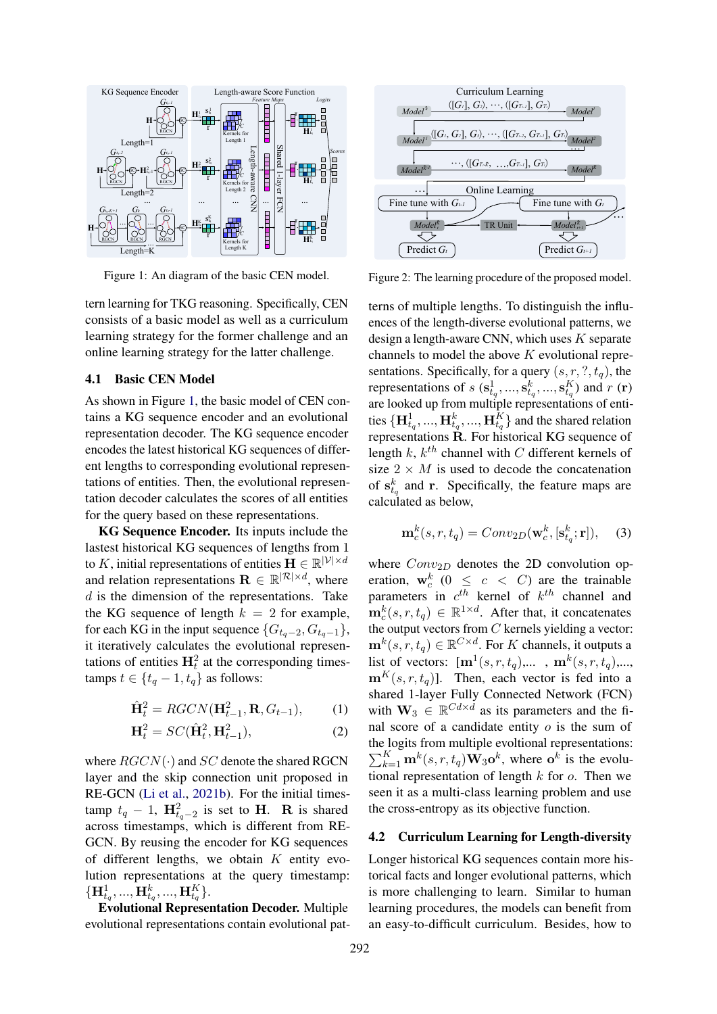<span id="page-2-0"></span>

Figure 1: An diagram of the basic CEN model.

tern learning for TKG reasoning. Specifically, CEN consists of a basic model as well as a curriculum learning strategy for the former challenge and an online learning strategy for the latter challenge.

# 4.1 Basic CEN Model

As shown in Figure [1,](#page-2-0) the basic model of CEN contains a KG sequence encoder and an evolutional representation decoder. The KG sequence encoder encodes the latest historical KG sequences of different lengths to corresponding evolutional representations of entities. Then, the evolutional representation decoder calculates the scores of all entities for the query based on these representations.

KG Sequence Encoder. Its inputs include the lastest historical KG sequences of lengths from 1 to K, initial representations of entities  $\mathbf{H} \in \mathbb{R}^{|\mathcal{V}| \times d}$ and relation representations  $\mathbf{R} \in \mathbb{R}^{|\mathcal{R}| \times d}$ , where  $d$  is the dimension of the representations. Take the KG sequence of length  $k = 2$  for example, for each KG in the input sequence  $\{G_{t_q-2}, G_{t_q-1}\},$ it iteratively calculates the evolutional representations of entities  $H_t^2$  at the corresponding timestamps  $t \in \{t_q - 1, t_q\}$  as follows:

$$
\hat{\mathbf{H}}_t^2 = RGCN(\mathbf{H}_{t-1}^2, \mathbf{R}, G_{t-1}),\tag{1}
$$

$$
\mathbf{H}_t^2 = SC(\hat{\mathbf{H}}_t^2, \mathbf{H}_{t-1}^2),\tag{2}
$$

where  $RGCN(\cdot)$  and  $SC$  denote the shared RGCN layer and the skip connection unit proposed in RE-GCN [\(Li et al.,](#page-5-17) [2021b\)](#page-5-17). For the initial timestamp  $t_q - 1$ ,  $\mathbf{H}_{t_q-2}^2$  is set to **H**. **R** is shared across timestamps, which is different from RE-GCN. By reusing the encoder for KG sequences of different lengths, we obtain  $K$  entity evolution representations at the query timestamp:  $\{ {\bf H}^1_{t_q}, ... , {\bf H}^k_{t_q}, ... , {\bf H}^K_{t_q} \}.$ 

Evolutional Representation Decoder. Multiple evolutional representations contain evolutional pat-

<span id="page-2-1"></span>

Figure 2: The learning procedure of the proposed model.

terns of multiple lengths. To distinguish the influences of the length-diverse evolutional patterns, we design a length-aware CNN, which uses  $K$  separate channels to model the above  $K$  evolutional representations. Specifically, for a query  $(s, r, ?, t_q)$ , the representations of  $s$  ( $\mathbf{s}_{t_q}^1, ..., \mathbf{s}_{t_q}^k, ..., \mathbf{s}_{t_q}^K$ ) and  $r$  (r) are looked up from multiple representations of entities  $\{\mathbf{H}_{t_q}^1, ..., \mathbf{H}_{t_q}^k, ..., \mathbf{H}_{t_q}^K\}$  and the shared relation representations R. For historical KG sequence of length  $k$ ,  $k^{th}$  channel with C different kernels of size  $2 \times M$  is used to decode the concatenation of  $s_{t_q}^k$  and r. Specifically, the feature maps are calculated as below,

$$
\mathbf{m}_c^k(s, r, t_q) = Conv_{2D}(\mathbf{w}_c^k, [\mathbf{s}_{t_q}^k; \mathbf{r}]), \quad (3)
$$

where  $Conv_{2D}$  denotes the 2D convolution operation,  $\mathbf{w}_c^k$  ( $0 \leq c < C$ ) are the trainable parameters in  $c^{th}$  kernel of  $k^{th}$  channel and  $\mathbf{m}_c^k(s, r, t_q) \in \mathbb{R}^{1 \times d}$ . After that, it concatenates the output vectors from  $C$  kernels yielding a vector:  $\mathbf{m}^k(s,r,t_q) \in \mathbb{R}^{C \times d}$ . For K channels, it outputs a list of vectors:  $[\mathbf{m}^1(s, r, t_q), \dots, \mathbf{m}^k(s, r, t_q), \dots]$  $\mathbf{m}^{K}(s, r, t_{q})$ ]. Then, each vector is fed into a shared 1-layer Fully Connected Network (FCN) with  $\mathbf{W}_3 \in \mathbb{R}^{Cd \times d}$  as its parameters and the final score of a candidate entity  $o$  is the sum of the logits from multiple evoltional representations:  $\sum_{k=1}^{K} \mathbf{m}^{k}(s, r, t_{q}) \mathbf{W}_{3} \mathbf{o}^{k}$ , where  $\mathbf{o}^{k}$  is the evolutional representation of length  $k$  for  $o$ . Then we seen it as a multi-class learning problem and use the cross-entropy as its objective function.

### 4.2 Curriculum Learning for Length-diversity

Longer historical KG sequences contain more historical facts and longer evolutional patterns, which is more challenging to learn. Similar to human learning procedures, the models can benefit from an easy-to-difficult curriculum. Besides, how to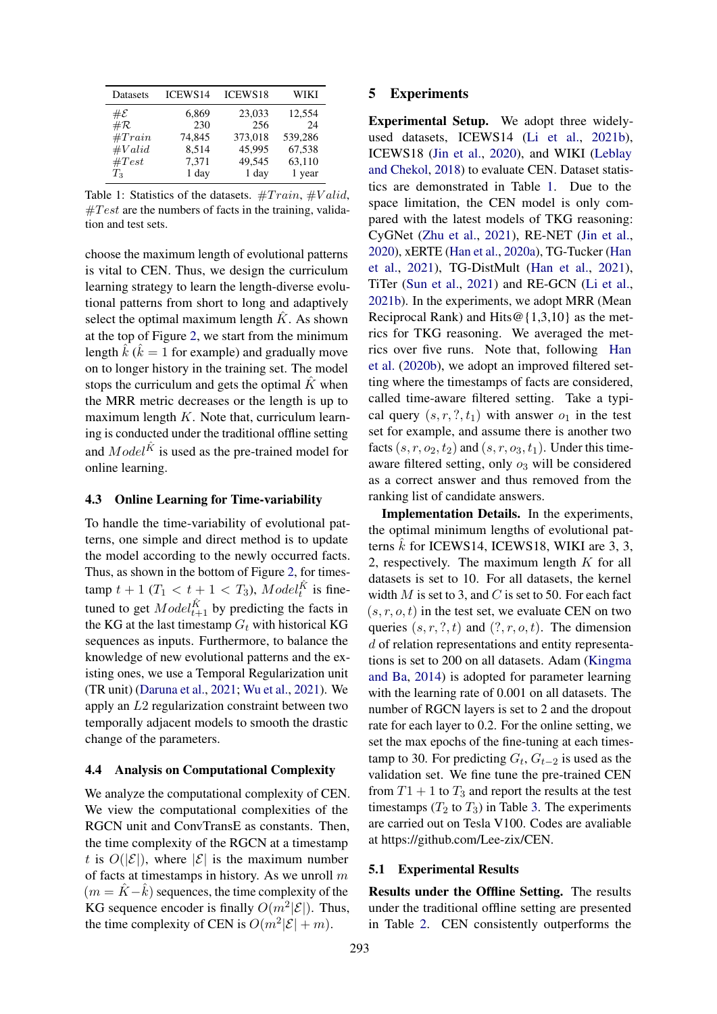<span id="page-3-0"></span>

| Datasets        | ICEWS14 | <b>ICEWS18</b> | WIKI    |
|-----------------|---------|----------------|---------|
| $\#\mathcal{E}$ | 6,869   | 23,033         | 12,554  |
| $\#\mathcal{R}$ | 230     | 256            | 24      |
| #Train          | 74,845  | 373,018        | 539,286 |
| #Valid          | 8,514   | 45,995         | 67,538  |
| $\#Test$        | 7,371   | 49,545         | 63,110  |
| $T_3$           | 1 day   | 1 day          | 1 year  |

Table 1: Statistics of the datasets.  $#Train, #Valid,$  $\#Test$  are the numbers of facts in the training, validation and test sets.

choose the maximum length of evolutional patterns is vital to CEN. Thus, we design the curriculum learning strategy to learn the length-diverse evolutional patterns from short to long and adaptively select the optimal maximum length  $\hat{K}$ . As shown at the top of Figure [2,](#page-2-1) we start from the minimum length  $\hat{k}$  ( $\hat{k} = 1$  for example) and gradually move on to longer history in the training set. The model stops the curriculum and gets the optimal  $K$  when the MRR metric decreases or the length is up to maximum length  $K$ . Note that, curriculum learning is conducted under the traditional offline setting and  $Model^{\hat{K}}$  is used as the pre-trained model for online learning.

#### 4.3 Online Learning for Time-variability

To handle the time-variability of evolutional patterns, one simple and direct method is to update the model according to the newly occurred facts. Thus, as shown in the bottom of Figure [2,](#page-2-1) for timestamp  $t + 1$  ( $T_1 < t + 1 < T_3$ ),  $Model_t^{\hat{K}}$  is finetuned to get  $Model_{t+1}^{\hat{K}}$  by predicting the facts in the KG at the last timestamp  $G_t$  with historical KG sequences as inputs. Furthermore, to balance the knowledge of new evolutional patterns and the existing ones, we use a Temporal Regularization unit (TR unit) [\(Daruna et al.,](#page-5-18) [2021;](#page-5-18) [Wu et al.,](#page-6-2) [2021\)](#page-6-2). We apply an L2 regularization constraint between two temporally adjacent models to smooth the drastic change of the parameters.

# 4.4 Analysis on Computational Complexity

We analyze the computational complexity of CEN. We view the computational complexities of the RGCN unit and ConvTransE as constants. Then, the time complexity of the RGCN at a timestamp t is  $O(|\mathcal{E}|)$ , where  $|\mathcal{E}|$  is the maximum number of facts at timestamps in history. As we unroll  $m$  $(m = \hat{K} - \hat{k})$  sequences, the time complexity of the KG sequence encoder is finally  $O(m^2|\mathcal{E}|)$ . Thus, the time complexity of CEN is  $O(m^2|\mathcal{E}| + m)$ .

## 5 Experiments

Experimental Setup. We adopt three widelyused datasets, ICEWS14 [\(Li et al.,](#page-5-17) [2021b\)](#page-5-17), ICEWS18 [\(Jin et al.,](#page-5-3) [2020\)](#page-5-3), and WIKI [\(Leblay](#page-5-11) [and Chekol,](#page-5-11) [2018\)](#page-5-11) to evaluate CEN. Dataset statistics are demonstrated in Table [1.](#page-3-0) Due to the space limitation, the CEN model is only compared with the latest models of TKG reasoning: CyGNet [\(Zhu et al.,](#page-6-1) [2021\)](#page-6-1), RE-NET [\(Jin et al.,](#page-5-3) [2020\)](#page-5-3), xERTE [\(Han et al.,](#page-5-6) [2020a\)](#page-5-6), TG-Tucker [\(Han](#page-5-7) [et al.,](#page-5-7) [2021\)](#page-5-7), TG-DistMult [\(Han et al.,](#page-5-7) [2021\)](#page-5-7), TiTer [\(Sun et al.,](#page-5-5) [2021\)](#page-5-5) and RE-GCN [\(Li et al.,](#page-5-17) [2021b\)](#page-5-17). In the experiments, we adopt MRR (Mean Reciprocal Rank) and Hits@{1,3,10} as the metrics for TKG reasoning. We averaged the metrics over five runs. Note that, following [Han](#page-5-19) [et al.](#page-5-19) [\(2020b\)](#page-5-19), we adopt an improved filtered setting where the timestamps of facts are considered, called time-aware filtered setting. Take a typical query  $(s, r, ?, t_1)$  with answer  $o_1$  in the test set for example, and assume there is another two facts  $(s, r, o_2, t_2)$  and  $(s, r, o_3, t_1)$ . Under this timeaware filtered setting, only  $o_3$  will be considered as a correct answer and thus removed from the ranking list of candidate answers.

Implementation Details. In the experiments, the optimal minimum lengths of evolutional patterns  $\hat{k}$  for ICEWS14, ICEWS18, WIKI are 3, 3, 2, respectively. The maximum length K for all datasets is set to 10. For all datasets, the kernel width  $M$  is set to 3, and  $C$  is set to 50. For each fact  $(s, r, o, t)$  in the test set, we evaluate CEN on two queries  $(s, r, ?, t)$  and  $(?, r, o, t)$ . The dimension d of relation representations and entity representations is set to 200 on all datasets. Adam [\(Kingma](#page-5-20) [and Ba,](#page-5-20) [2014\)](#page-5-20) is adopted for parameter learning with the learning rate of 0.001 on all datasets. The number of RGCN layers is set to 2 and the dropout rate for each layer to 0.2. For the online setting, we set the max epochs of the fine-tuning at each timestamp to 30. For predicting  $G_t$ ,  $G_{t-2}$  is used as the validation set. We fine tune the pre-trained CEN from  $T1 + 1$  to  $T_3$  and report the results at the test timestamps  $(T_2 \text{ to } T_3)$  in Table [3.](#page-4-0) The experiments are carried out on Tesla V100. Codes are avaliable at https://github.com/Lee-zix/CEN.

#### 5.1 Experimental Results

Results under the Offline Setting. The results under the traditional offline setting are presented in Table [2.](#page-4-1) CEN consistently outperforms the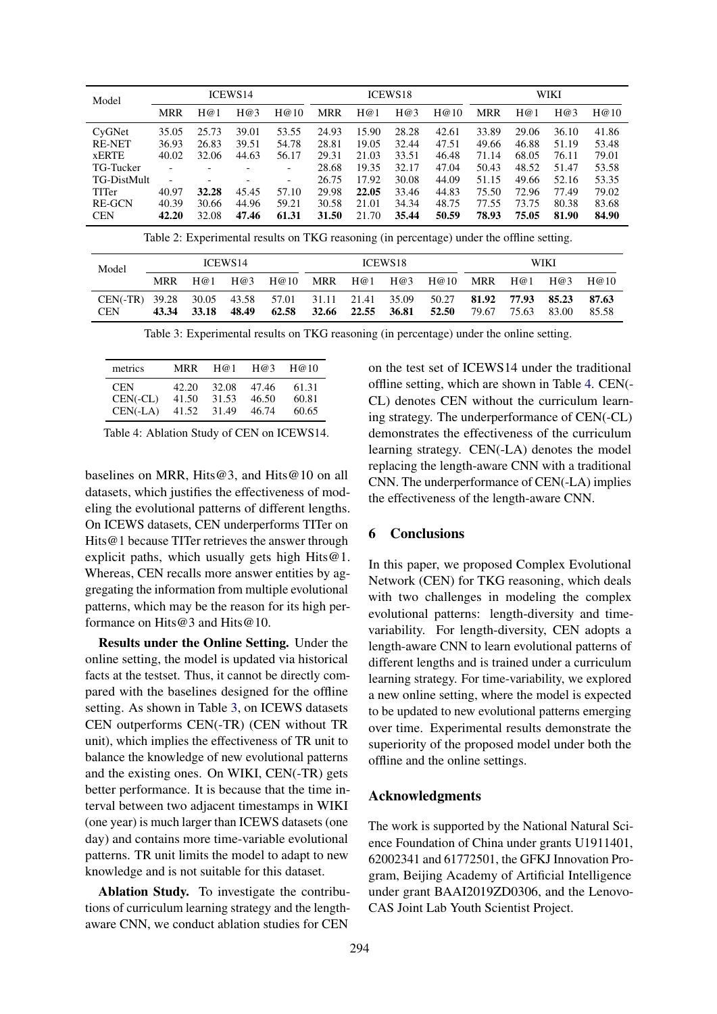<span id="page-4-1"></span>

| Model              | <b>ICEWS14</b>           |       |                          | <b>ICEWS18</b>           |       |       | WIKI  |       |            |       |       |       |
|--------------------|--------------------------|-------|--------------------------|--------------------------|-------|-------|-------|-------|------------|-------|-------|-------|
|                    | <b>MRR</b>               | H@1   | H@3                      | H@10                     | MRR   | H@1   | H@3   | H@10  | <b>MRR</b> | H@1   | H@3   | H@10  |
| CyGNet             | 35.05                    | 25.73 | 39.01                    | 53.55                    | 24.93 | 15.90 | 28.28 | 42.61 | 33.89      | 29.06 | 36.10 | 41.86 |
| <b>RE-NET</b>      | 36.93                    | 26.83 | 39.51                    | 54.78                    | 28.81 | 19.05 | 32.44 | 47.51 | 49.66      | 46.88 | 51.19 | 53.48 |
| <b>xERTE</b>       | 40.02                    | 32.06 | 44.63                    | 56.17                    | 29.31 | 21.03 | 33.51 | 46.48 | 71.14      | 68.05 | 76.11 | 79.01 |
| TG-Tucker          |                          |       | $\overline{\phantom{0}}$ | -                        | 28.68 | 19.35 | 32.17 | 47.04 | 50.43      | 48.52 | 51.47 | 53.58 |
| <b>TG-DistMult</b> | $\overline{\phantom{0}}$ |       | $\overline{\phantom{0}}$ | $\overline{\phantom{a}}$ | 26.75 | 17.92 | 30.08 | 44.09 | 51.15      | 49.66 | 52.16 | 53.35 |
| TITer              | 40.97                    | 32.28 | 45.45                    | 57.10                    | 29.98 | 22.05 | 33.46 | 44.83 | 75.50      | 72.96 | 77.49 | 79.02 |
| <b>RE-GCN</b>      | 40.39                    | 30.66 | 44.96                    | 59.21                    | 30.58 | 21.01 | 34.34 | 48.75 | 77.55      | 73.75 | 80.38 | 83.68 |
| <b>CEN</b>         | 42.20                    | 32.08 | 47.46                    | 61.31                    | 31.50 | 21.70 | 35.44 | 50.59 | 78.93      | 75.05 | 81.90 | 84.90 |

Table 2: Experimental results on TKG reasoning (in percentage) under the offline setting.

<span id="page-4-0"></span>

| Model                        | ICEWS <sub>14</sub> |                      |       | ICEWS <sub>18</sub>              |     |                   | WIKI |                |       |                            |       |                |
|------------------------------|---------------------|----------------------|-------|----------------------------------|-----|-------------------|------|----------------|-------|----------------------------|-------|----------------|
|                              | <b>MRR</b>          | H@1                  | H@3   | H@10                             | MRR | H@1               |      | H@3 H@10       | MRR   | H(@1)                      | H@3   | H@10           |
| CEN(-TR) 39.28<br><b>CEN</b> | 43.34               | 30.05 43.58<br>33.18 | 48.49 | 57.01 31.11 21.41 35.09<br>62.58 |     | 32.66 22.55 36.81 |      | 50.27<br>52.50 | 79.67 | 81.92 77.93 85.23<br>75.63 | 83.00 | 87.63<br>85.58 |

Table 3: Experimental results on TKG reasoning (in percentage) under the online setting.

<span id="page-4-2"></span>

| metrics    | MRR   | H@1   | H@3   | H@10  |
|------------|-------|-------|-------|-------|
| <b>CEN</b> | 42.20 | 32.08 | 47.46 | 61.31 |
| $CEN(-CL)$ | 41.50 | 31.53 | 46.50 | 60.81 |
| $CEN(-LA)$ | 41.52 | 31.49 | 46.74 | 60.65 |

Table 4: Ablation Study of CEN on ICEWS14.

baselines on MRR, Hits@3, and Hits@10 on all datasets, which justifies the effectiveness of modeling the evolutional patterns of different lengths. On ICEWS datasets, CEN underperforms TITer on Hits@1 because TITer retrieves the answer through explicit paths, which usually gets high Hits $@1$ . Whereas, CEN recalls more answer entities by aggregating the information from multiple evolutional patterns, which may be the reason for its high performance on Hits@3 and Hits@10.

Results under the Online Setting. Under the online setting, the model is updated via historical facts at the testset. Thus, it cannot be directly compared with the baselines designed for the offline setting. As shown in Table [3,](#page-4-0) on ICEWS datasets CEN outperforms CEN(-TR) (CEN without TR unit), which implies the effectiveness of TR unit to balance the knowledge of new evolutional patterns and the existing ones. On WIKI, CEN(-TR) gets better performance. It is because that the time interval between two adjacent timestamps in WIKI (one year) is much larger than ICEWS datasets (one day) and contains more time-variable evolutional patterns. TR unit limits the model to adapt to new knowledge and is not suitable for this dataset.

Ablation Study. To investigate the contributions of curriculum learning strategy and the lengthaware CNN, we conduct ablation studies for CEN

on the test set of ICEWS14 under the traditional offline setting, which are shown in Table [4.](#page-4-2) CEN(- CL) denotes CEN without the curriculum learning strategy. The underperformance of CEN(-CL) demonstrates the effectiveness of the curriculum learning strategy. CEN(-LA) denotes the model replacing the length-aware CNN with a traditional CNN. The underperformance of CEN(-LA) implies the effectiveness of the length-aware CNN.

# 6 Conclusions

In this paper, we proposed Complex Evolutional Network (CEN) for TKG reasoning, which deals with two challenges in modeling the complex evolutional patterns: length-diversity and timevariability. For length-diversity, CEN adopts a length-aware CNN to learn evolutional patterns of different lengths and is trained under a curriculum learning strategy. For time-variability, we explored a new online setting, where the model is expected to be updated to new evolutional patterns emerging over time. Experimental results demonstrate the superiority of the proposed model under both the offline and the online settings.

# Acknowledgments

The work is supported by the National Natural Science Foundation of China under grants U1911401, 62002341 and 61772501, the GFKJ Innovation Program, Beijing Academy of Artificial Intelligence under grant BAAI2019ZD0306, and the Lenovo-CAS Joint Lab Youth Scientist Project.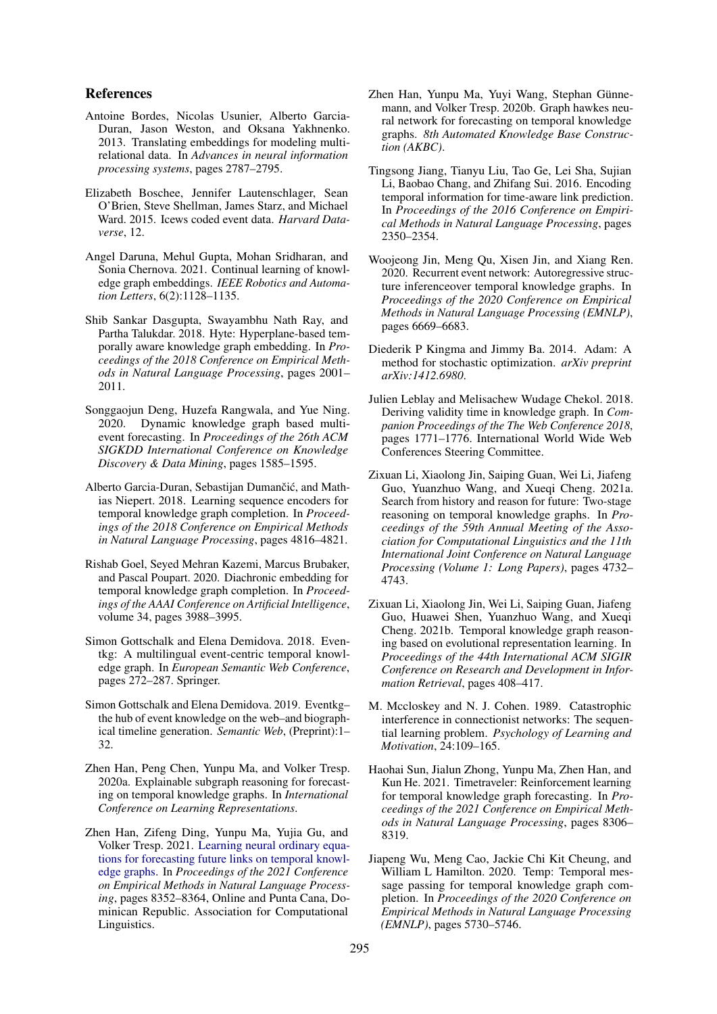# References

- <span id="page-5-16"></span>Antoine Bordes, Nicolas Usunier, Alberto Garcia-Duran, Jason Weston, and Oksana Yakhnenko. 2013. Translating embeddings for modeling multirelational data. In *Advances in neural information processing systems*, pages 2787–2795.
- <span id="page-5-0"></span>Elizabeth Boschee, Jennifer Lautenschlager, Sean O'Brien, Steve Shellman, James Starz, and Michael Ward. 2015. Icews coded event data. *Harvard Dataverse*, 12.
- <span id="page-5-18"></span>Angel Daruna, Mehul Gupta, Mohan Sridharan, and Sonia Chernova. 2021. Continual learning of knowledge graph embeddings. *IEEE Robotics and Automation Letters*, 6(2):1128–1135.
- <span id="page-5-12"></span>Shib Sankar Dasgupta, Swayambhu Nath Ray, and Partha Talukdar. 2018. Hyte: Hyperplane-based temporally aware knowledge graph embedding. In *Proceedings of the 2018 Conference on Empirical Methods in Natural Language Processing*, pages 2001– 2011.
- <span id="page-5-8"></span>Songgaojun Deng, Huzefa Rangwala, and Yue Ning. 2020. Dynamic knowledge graph based multievent forecasting. In *Proceedings of the 26th ACM SIGKDD International Conference on Knowledge Discovery & Data Mining*, pages 1585–1595.
- <span id="page-5-13"></span>Alberto Garcia-Duran, Sebastijan Dumančić, and Mathias Niepert. 2018. Learning sequence encoders for temporal knowledge graph completion. In *Proceedings of the 2018 Conference on Empirical Methods in Natural Language Processing*, pages 4816–4821.
- <span id="page-5-14"></span>Rishab Goel, Seyed Mehran Kazemi, Marcus Brubaker, and Pascal Poupart. 2020. Diachronic embedding for temporal knowledge graph completion. In *Proceedings of the AAAI Conference on Artificial Intelligence*, volume 34, pages 3988–3995.
- <span id="page-5-1"></span>Simon Gottschalk and Elena Demidova. 2018. Eventkg: A multilingual event-centric temporal knowledge graph. In *European Semantic Web Conference*, pages 272–287. Springer.
- <span id="page-5-2"></span>Simon Gottschalk and Elena Demidova. 2019. Eventkg– the hub of event knowledge on the web–and biographical timeline generation. *Semantic Web*, (Preprint):1– 32.
- <span id="page-5-6"></span>Zhen Han, Peng Chen, Yunpu Ma, and Volker Tresp. 2020a. Explainable subgraph reasoning for forecasting on temporal knowledge graphs. In *International Conference on Learning Representations*.
- <span id="page-5-7"></span>Zhen Han, Zifeng Ding, Yunpu Ma, Yujia Gu, and Volker Tresp. 2021. [Learning neural ordinary equa](https://aclanthology.org/2021.emnlp-main.658)[tions for forecasting future links on temporal knowl](https://aclanthology.org/2021.emnlp-main.658)[edge graphs.](https://aclanthology.org/2021.emnlp-main.658) In *Proceedings of the 2021 Conference on Empirical Methods in Natural Language Processing*, pages 8352–8364, Online and Punta Cana, Dominican Republic. Association for Computational Linguistics.
- <span id="page-5-19"></span>Zhen Han, Yunpu Ma, Yuyi Wang, Stephan Günnemann, and Volker Tresp. 2020b. Graph hawkes neural network for forecasting on temporal knowledge graphs. *8th Automated Knowledge Base Construction (AKBC)*.
- <span id="page-5-10"></span>Tingsong Jiang, Tianyu Liu, Tao Ge, Lei Sha, Sujian Li, Baobao Chang, and Zhifang Sui. 2016. Encoding temporal information for time-aware link prediction. In *Proceedings of the 2016 Conference on Empirical Methods in Natural Language Processing*, pages 2350–2354.
- <span id="page-5-3"></span>Woojeong Jin, Meng Qu, Xisen Jin, and Xiang Ren. 2020. Recurrent event network: Autoregressive structure inferenceover temporal knowledge graphs. In *Proceedings of the 2020 Conference on Empirical Methods in Natural Language Processing (EMNLP)*, pages 6669–6683.
- <span id="page-5-20"></span>Diederik P Kingma and Jimmy Ba. 2014. Adam: A method for stochastic optimization. *arXiv preprint arXiv:1412.6980*.
- <span id="page-5-11"></span>Julien Leblay and Melisachew Wudage Chekol. 2018. Deriving validity time in knowledge graph. In *Companion Proceedings of the The Web Conference 2018*, pages 1771–1776. International World Wide Web Conferences Steering Committee.
- <span id="page-5-4"></span>Zixuan Li, Xiaolong Jin, Saiping Guan, Wei Li, Jiafeng Guo, Yuanzhuo Wang, and Xueqi Cheng. 2021a. Search from history and reason for future: Two-stage reasoning on temporal knowledge graphs. In *Proceedings of the 59th Annual Meeting of the Association for Computational Linguistics and the 11th International Joint Conference on Natural Language Processing (Volume 1: Long Papers)*, pages 4732– 4743.
- <span id="page-5-17"></span>Zixuan Li, Xiaolong Jin, Wei Li, Saiping Guan, Jiafeng Guo, Huawei Shen, Yuanzhuo Wang, and Xueqi Cheng. 2021b. Temporal knowledge graph reasoning based on evolutional representation learning. In *Proceedings of the 44th International ACM SIGIR Conference on Research and Development in Information Retrieval*, pages 408–417.
- <span id="page-5-9"></span>M. Mccloskey and N. J. Cohen. 1989. Catastrophic interference in connectionist networks: The sequential learning problem. *Psychology of Learning and Motivation*, 24:109–165.
- <span id="page-5-5"></span>Haohai Sun, Jialun Zhong, Yunpu Ma, Zhen Han, and Kun He. 2021. Timetraveler: Reinforcement learning for temporal knowledge graph forecasting. In *Proceedings of the 2021 Conference on Empirical Methods in Natural Language Processing*, pages 8306– 8319.
- <span id="page-5-15"></span>Jiapeng Wu, Meng Cao, Jackie Chi Kit Cheung, and William L Hamilton. 2020. Temp: Temporal message passing for temporal knowledge graph completion. In *Proceedings of the 2020 Conference on Empirical Methods in Natural Language Processing (EMNLP)*, pages 5730–5746.